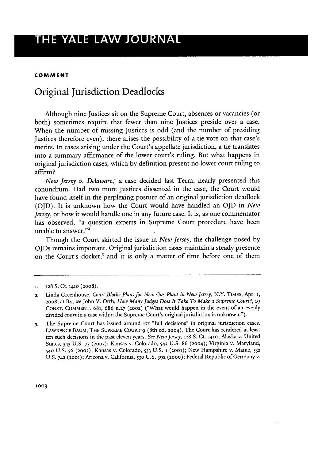### **COMMENT**

# Original Jurisdiction Deadlocks

Although nine Justices sit on the Supreme Court, absences or vacancies (or both) sometimes require that fewer than nine Justices preside over a case. When the number of missing Justices is odd (and the number of presiding Justices therefore even), there arises the possibility of a tie vote on that case's merits. In cases arising under the Court's appellate jurisdiction, a tie translates into a summary affirmance of the lower court's ruling. But what happens in original jurisdiction cases, which by definition present no lower court ruling to affirm?

*New Jersey v. Delaware,'* a case decided last Term, nearly presented this conundrum. Had two more Justices dissented in the case, the Court would have found itself in the perplexing posture of an original jurisdiction deadlock (OJD). It is unknown how the Court would have handled an OJD in *New Jersey,* or how it would handle one in any future case. It is, as one commentator has observed, "a question experts in Supreme Court procedure have been unable to answer."<sup>2</sup>

Though the Court skirted the issue in *New Jersey,* the challenge posed by OJDs remains important. Original jurisdiction cases maintain a steady presence on the Court's docket,<sup>3</sup> and it is only a matter of time before one of them

**<sup>1. 128</sup>** S. Ct. **1410** (2008).

**<sup>2.</sup>** Linda Greenhouse, *Court Blocks Plans for New Gas Plant in New Jersey,* N.Y. TiMES, Apr. **1,** 2008, at B4; *see* John V. Orth, *How Many Judges Does It Take To Make a Supreme Court?, 19* CONST. COMMENT. 681, 686 n.27 **(2002)** ("What would happen in the event of an evenly divided court in a case within the Supreme Court's original jurisdiction is unknown.").

**<sup>3.</sup>** The Supreme Court has issued around **175** "full decisions" in original jurisdiction cases. LAWRENCE **BAUM, THE** SUPREME COURT 9 (8th ed. 2004). The Court has rendered at least ten such decisions in the past eleven years. *See New Jersey,* 128 **S.** Ct. 1410; Alaska v. United States, 545 U.S. **75 (2005);** Kansas v. Colorado, 543 U.S. 86 (2004); Virginia v. Maryland, **540** U.S. 56 **(2003);** Kansas v. Colorado, 533 U.S. **1** (2001); New Hampshire v. Maine, **<sup>532</sup>** U.S. **742 (2001);** Arizona v. California, **530** U.S. **392** (2000); Federal Republic of Germany v.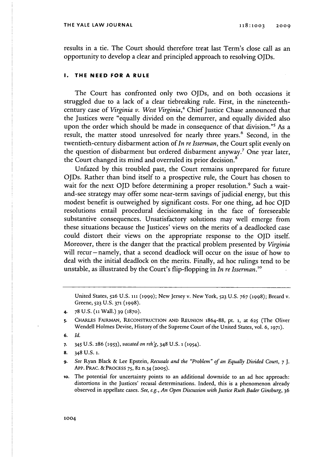#### **THE YALE LAW JOURNAL**

results in a tie. The Court should therefore treat last Term's close call as an opportunity to develop a clear and principled approach to resolving OJDs.

### **I. THE NEED FOR A RULE**

The Court has confronted only two OJDs, and on both occasions it struggled due to a lack of a clear tiebreaking rule. First, in the nineteenthcentury case of *Virginia v. West Virginia*,<sup>4</sup> Chief Justice Chase announced that the Justices were "equally divided on the demurrer, and equally divided also upon the order which should be made in consequence of that division."<sup>5</sup> As a result, the matter stood unresolved for nearly three years.<sup>6</sup> Second, in the twentieth-century disbarment action of *In re Isserman,* the Court split evenly on the question of disbarment but ordered disbarment anyway.7 One year later, the Court changed its mind and overruled its prior decision.<sup>8</sup>

Unfazed by this troubled past, the Court remains unprepared for future OJDs. Rather than bind itself to a prospective rule, the Court has chosen to wait for the next OJD before determining a proper resolution.<sup>9</sup> Such a waitand-see strategy may offer some near-term savings of judicial energy, but this modest benefit is outweighed by significant costs. For one thing, ad hoc **OJD** resolutions entail procedural decisionmaking in the face of foreseeable substantive consequences. Unsatisfactory solutions may well emerge from these situations because the Justices' views on the merits of a deadlocked case could distort their views on the appropriate response to the **OJD** itself. Moreover, there is the danger that the practical problem presented by *Virginia* will recur-namely, that a second deadlock will occur on the issue of how to deal with the initial deadlock on the merits. Finally, ad hoc rulings tend to be unstable, as illustrated by the Court's flip-flopping in *In re Isserman.1°*

United States, **526** U.S. 111 **(1999);** New Jersey v. New York, **523** U.S. 767 (1998); Breard v. Greene, **523** U.S. **371 (1998).**

- 4. 78 U.S. **(11** Wall.) 39 **(1870).**
- **5.** CHARLES FAIRMAN, **RECONSTRUCTION AND REUNION** 1864-88, pt. **1,** at 625 (The Oliver Wendell Holmes Devise, History of the Supreme Court of the United States, vol. 6, **1971).**
- **6.** *Id.*
- **7.** 345 U.S. 286 **(1953),** *vacated on reh'g,* 348 U.S. **1** (1954).
- **8.** 348 **U.S. 1.**
- **9.** *See* Ryan Black & Lee Epstein, *Recusals and the "Problem" of an Equally Divided Court, 7* J. App. PRAC. &PROCESS 75, **82 n.34 (2005).**
- **1o.** The potential for uncertainty points to an additional downside to an ad hoc approach: distortions in the Justices' recusal determinations. Indeed, this is a phenomenon already observed in appellate cases. *See, e.g., An Open Discussion with Justice Ruth Bader Ginsburg,* 36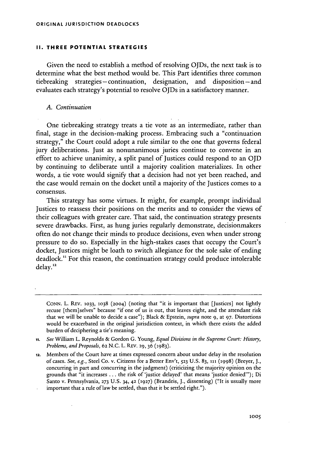### **II. THREE POTENTIAL STRATEGIES**

Given the need to establish a method of resolving OJDs, the next task is to determine what the best method would be. This Part identifies three common tiebreaking strategies -continuation, designation, and disposition-and evaluates each strategy's potential to resolve OJDs in a satisfactory manner.

### *A. Continuation*

One tiebreaking strategy treats a tie vote as an intermediate, rather than final, stage in the decision-making process. Embracing such a "continuation strategy," the Court could adopt a rule similar to the one that governs federal jury deliberations. Just as nonunanimous juries continue to convene in an effort to achieve unanimity, a split panel of Justices could respond to an OJD by continuing to deliberate until a majority coalition materializes. In other words, a tie vote would signify that a decision had not yet been reached, and the case would remain on the docket until a majority of the Justices comes to a consensus.

This strategy has some virtues. It might, for example, prompt individual Justices to reassess their positions on the merits and to consider the views of their colleagues with greater care. That said, the continuation strategy presents severe drawbacks. First, as hung juries regularly demonstrate, decisionmakers often do not change their minds to produce decisions, even when under strong pressure to do so. Especially in the high-stakes cases that occupy the Court's docket, Justices might be loath to switch allegiance for the sole sake of ending deadlock." For this reason, the continuation strategy could produce intolerable delay.12

CONN. L. REV. **1033, 1038** (2004) (noting that "it is important that [Justices] not lightly recuse [them]selves" because "if one of us is out, that leaves eight, and the attendant risk that we will be unable to decide a case"); Black & Epstein, *supra* note 9, at 97. Distortions would be exacerbated in the original jurisdiction context, in which there exists the added burden of deciphering a tie's meaning.

*<sup>11.</sup> See* William L. Reynolds & Gordon **G.** Young, *Equal Divisions in the Supreme Court: History, Problems, and Proposals.* 62 N.C. L. REV. 29, 36 (1983).

**<sup>12.</sup>** Members of the Court have at times expressed concern about undue delay in the resolution of cases. *See, e.g.,* Steel Co. v. Citizens for a Better Env't, **523** U.S. 83, **ini** (1998) (Breyer, J., concurring in part and concurring in the judgment) (criticizing the majority opinion on the grounds that "it increases ... the risk of 'justice delayed' that means 'justice denied"'); Di Santo v. Pennsylvania, **273** U.S. 34, 42 **(1927)** (Brandeis, J., dissenting) ("It is usually more important that a rule of law be settled, than that it be settled right.").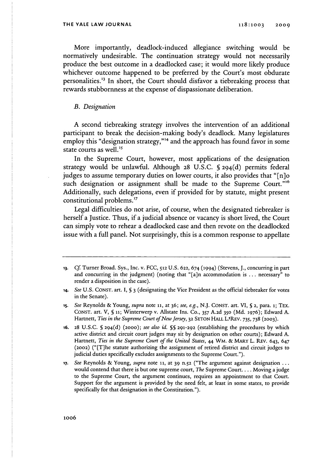More importantly, deadlock-induced allegiance switching would be normatively undesirable. The continuation strategy would not necessarily produce the best outcome in a deadlocked case; it would more likely produce whichever outcome happened to be preferred by the Court's most obdurate personalities.<sup>13</sup> In short, the Court should disfavor a tiebreaking process that rewards stubbornness at the expense of dispassionate deliberation.

### *B. Designation*

**A** second tiebreaking strategy involves the intervention of an additional participant to break the decision-making body's deadlock. Many legislatures employ this "designation strategy,"<sup>14</sup> and the approach has found favor in some state courts as well.<sup>15</sup>

In the Supreme Court, however, most applications of the designation strategy would be unlawful. Although **28 U.S.C.** § 29 <sup>4</sup> (d) permits federal judges to assume temporary duties on lower courts, it also provides that "[n]o such designation or assignment shall be made to the Supreme Court."<sup>16</sup> Additionally, such delegations, even if provided for by statute, might present constitutional problems.<sup>17</sup>

Legal difficulties do not arise, of course, when the designated tiebreaker is herself a Justice. Thus, if a judicial absence or vacancy is short lived, the Court can simply vote to rehear a deadlocked case and then revote on the deadlocked issue with a full panel. Not surprisingly, this is a common response to appellate

**<sup>13.</sup> Cf.** Turner Broad. Sys., Inc. v. FCC, **512** U.S. 622, 674 (1994) (Stevens, J., concurring in part and concurring in the judgment) (noting that "[a]n accommodation is ... necessary" to render a disposition in the case).

*<sup>14.</sup> See* U.S. CONST. art. I, **§ 3** (designating the Vice President as the official tiebreaker for votes in the Senate).

*<sup>15.</sup> See* Reynolds **&** Young, *supra* note **11,** at **36;** *see, e.g.,* **N.J. CONST.** art. VI, **§ 2,** para. **1;** TEx. **CONST.** art. V, **§ ii;** Winterwerp v. Allstate Ins. **Co., 357 A.2d 350 (Md. 1976);** Edward **A.** Hartnett, *Ties in the Supreme Court of New Jersey*, 32 SETON HALL L.\*REV. 735, 738 (2003).

<sup>16.</sup> 28 U.S.C. **§** 29 <sup>4</sup> (d) **(2000);** *see also id.* **§§** 291-292 (establishing the procedures by which active district and circuit court judges may sit by designation on other courts); Edward A. Hartnett, *Ties in the Supreme Court of the United States*, 44 WM. & MARY L. REV. 643, 647 (2002) ("[T]he statute authorizing the assignment of retired district and circuit judges to judicial duties specifically excludes assignments to the Supreme Court.").

**<sup>17.</sup>** *See* Reynolds & Young, *supra* note **ii,** at 39 n.52 ("The argument against designation ... would contend that there is but one supreme court, *The* Supreme Court.... Moving a judge to the Supreme Court, the argument continues, requires an appointment to that Court. Support for the argument is provided by the need felt, at least in some states, to provide specifically for that designation in the Constitution.").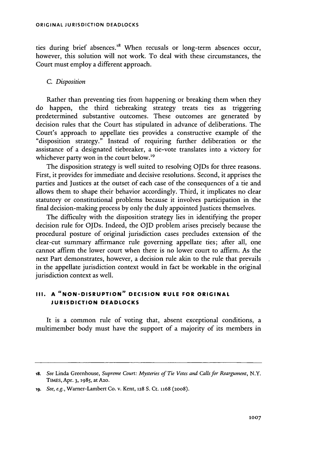ties during brief absences.<sup>18</sup> When recusals or long-term absences occur, however, this solution will not work. To deal with these circumstances, the Court must employ a different approach.

## *C. Disposition*

Rather than preventing ties from happening or breaking them when they do happen, the third tiebreaking strategy treats ties as triggering predetermined substantive outcomes. These outcomes are generated by decision rules that the Court has stipulated in advance of deliberations. The Court's approach to appellate ties provides a constructive example of the "disposition strategy." Instead of requiring further deliberation or the assistance of a designated tiebreaker, a tie-vote translates into a victory for whichever party won in the court below.<sup>19</sup>

The disposition strategy is well suited to resolving OJDs for three reasons. First, it provides for immediate and decisive resolutions. Second, it apprises the parties and Justices at the outset of each case of the consequences of a tie and allows them to shape their behavior accordingly. Third, it implicates no clear statutory or constitutional problems because it involves participation in the final decision-making process by only the duly appointed Justices themselves.

The difficulty with the disposition strategy lies in identifying the proper decision rule for OJDs. Indeed, the OJD problem arises precisely because the procedural posture of original jurisdiction cases precludes extension of the clear-cut summary affirmance rule governing appellate ties; after all, one cannot affirm the lower court when there is no lower court to affirm. As the next Part demonstrates, however, a decision rule akin to the rule that prevails in the appellate jurisdiction context would in fact be workable in the original jurisdiction context as well.

# **III. A "NON-DISRUPTION" DECISION RULE FOR ORIGINAL JURISDICTION DEADLOCKS**

It is a common rule of voting that, absent exceptional conditions, a multimember body must have the support of a majority of its members in

**is.** *See* Linda Greenhouse, *Supreme Court: Mysteries of Tie Votes and Calls for Reargument,* N.Y. TiMEs, Apr. 3, **1985,** at A2o.

**ig.** *See, e.g.,* Warner-Lambert Co. v. Kent, **128** S. Ct. 1168 (2008).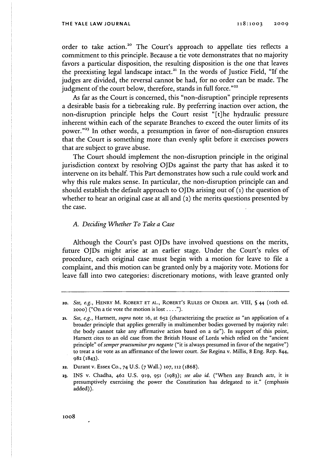order to take action.<sup>20</sup> The Court's approach to appellate ties reflects a commitment to this principle. Because a tie vote demonstrates that no majority favors a particular disposition, the resulting disposition is the one that leaves the preexisting legal landscape intact.<sup>21</sup> In the words of Justice Field, "If the judges are divided, the reversal cannot be had, for no order can be made. The judgment of the court below, therefore, stands in full force."<sup>22</sup>

As far as the Court is concerned, this "non-disruption" principle represents a desirable basis for a tiebreaking rule. By preferring inaction over action, the non-disruption principle helps the Court resist "[t]he hydraulic pressure inherent within each of the separate Branches to exceed the outer limits of its power."<sup>23</sup> In other words, a presumption in favor of non-disruption ensures that the Court is something more than evenly split before it exercises powers that are subject to grave abuse.

The Court should implement the non-disruption principle in the original jurisdiction context by resolving OJDs against the party that has asked it to intervene on its behalf. This Part demonstrates how such a rule could work and why this rule makes sense. In particular, the non-disruption principle can and should establish the default approach to OJDs arising out of **(i)** the question of whether to hear an original case at all and (2) the merits questions presented by the case.

### *A. Deciding Whether To Take a Case*

Although the Court's past OJDs have involved questions on the merits, future OJDs might arise at an earlier stage. Under the Court's rules of procedure, each original case must begin with a motion for leave to file a complaint, and this motion can be granted only by a majority vote. Motions for leave fall into two categories: discretionary motions, with leave granted only

**<sup>2</sup>o.** *See, e.g.,* HENRY M. ROBERT **ET AL.,** ROBERT'S RuLES OF ORDER art. VIII, **§** 44 (loth ed. 2000) ("On a tie vote the motion is lost **.... ").**

**<sup>21.</sup>** *See, e.g.,* Hartnett, *supra* note 16, at **652** (characterizing the practice as "an application of a broader principle that applies generally in multimember bodies governed by majority rule: the body cannot take any affirmative action based on a tie"). In support of this point, Harnett cites to an old case from the British House of Lords which relied on the "ancient principle" *of semper praesumitur pro negante* ("it is always presumed in favor of the negative") to treat a tie vote as an affirmance of the lower court. *See* Regina v. Millis, 8 Eng. Rep. 844, **982 (1843).**

**<sup>22.</sup>** Durant v. Essex Co., 74 U.S. *(7* Wall.) **107, 112** (1868).

**<sup>23.</sup>** INS v. Chadha, 462 U.S. **919, 951 (1983);** *see also id.* ("When any Branch *acts,* it is presumptively exercising the power the Constitution has delegated to it." (emphasis added)).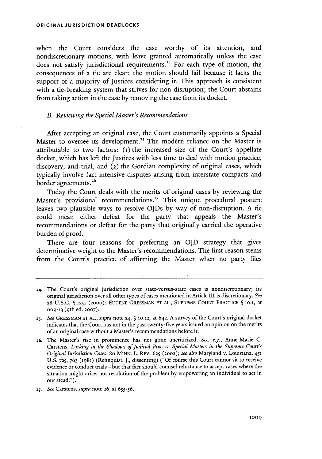when the Court considers the case worthy of its attention, and nondiscretionary motions, with leave granted automatically unless the case does not satisfy jurisdictional requirements.<sup>24</sup> For each type of motion, the consequences of a tie are clear: the motion should fail because it lacks the support of a majority of Justices considering it. This approach is consistent with a tie-breaking system that strives for non-disruption; the Court abstains from taking action in the case by removing the case from its docket.

### *B. Reviewing the Special Master's Recommendations*

After accepting an original case, the Court customarily appoints a Special Master to oversee its development.<sup>25</sup> The modern reliance on the Master is attributable to two factors: **(1)** the increased size of the Court's appellate docket, which has left the Justices with less time to deal with motion practice, discovery, and trial, and (2) the Gordian complexity of original cases, which typically involve fact-intensive disputes arising from interstate compacts and border agreements.<sup>26</sup>

Today the Court deals with the merits of original cases by reviewing the Master's provisional recommendations.<sup>27</sup> This unique procedural posture leaves two plausible ways to resolve OJDs by way of non-disruption. A tie could mean either defeat for the party that appeals the Master's recommendations or defeat for the party that originally carried the operative burden of proof.

There are four reasons for preferring an OJD strategy that gives determinative weight to the Master's recommendations. The first reason stems from the Court's practice of affirming the Master when no party files

*27. See* Carstens, *supra* note **26,** at **655-56.**

**<sup>24.</sup>** The Court's original jurisdiction over state-versus-state cases is nondiscretionary; its original jurisdiction over all other types of cases mentioned in Article III is discretionary. *See* **28** U.S.C. **§ 1251** (2000); **EUGENE** GRESSMAN **ET AL., SUPREME COURT** PRACTICE **§** 1o.1, at **609-13** (9 th ed. **2007).**

**<sup>25.</sup>** *See* **GRESSMAN ET AL.,** *supra* note 24, **§** 10.12, at 642. A survey of the Court's original docket indicates that the Court has not in the past twenty-five years issued an opinion on the merits of an original case without a Master's recommendations before it.

**<sup>26.</sup>** The Master's rise in prominence has not gone uncriticized. *See, e.g.,* Anne-Marie C. Carstens, *Lurking in the Shadows of Judicial Process: Special Masters in the Supreme Court's Original Jurisdiction Cases,* 86 **MINN.** L. REV. **625** (2002); *see also* Maryland v. Louisiana, 451 U.S. **725,** 763 **(1981)** (Rehnquist, J., dissenting) ("Of course this Court cannot sit to receive evidence or conduct trials- but that fact should counsel reluctance to accept cases where the situation might arise, not resolution of the problem by empowering an individual to act in our stead.").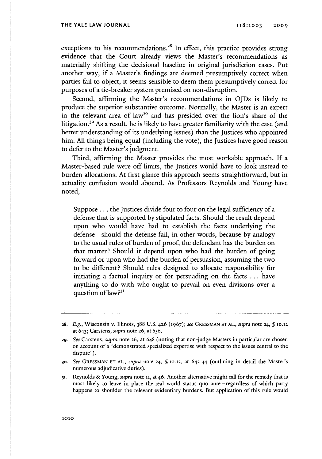exceptions to his recommendations.<sup>28</sup> In effect, this practice provides strong evidence that the Court already views the Master's recommendations as materially shifting the decisional baseline in original jurisdiction cases. Put another way, if a Master's findings are deemed presumptively correct when parties fail to object, it seems sensible to deem them presumptively correct for purposes of a tie-breaker system premised on non-disruption.

Second, affirming the Master's recommendations in OJDs is likely to produce the superior substantive outcome. Normally, the Master is an expert in the relevant area of law<sup>29</sup> and has presided over the lion's share of the litigation.3 " As a result, he is **likely** to have greater familiarity with the case (and better understanding of its underlying issues) than the Justices who appointed him. **All** things being equal (including the vote), the Justices have good reason to defer to the Master's judgment.

Third, affirming the Master provides the most workable approach. If a Master-based rule were off limits, the Justices would have to look instead to burden allocations. At first glance this approach seems straightforward, but in actuality confusion would abound. As Professors Reynolds and Young have noted,

Suppose... the Justices divide four to four on the legal sufficiency of a defense that is supported by stipulated facts. Should the result depend upon who would have had to establish the facts underlying the defense – should the defense fail, in other words, because by analogy to the usual rules of burden of proof, the defendant has the burden on that matter? Should it depend upon who had the burden of going forward or upon who had the burden of persuasion, assuming the two to be different? Should rules designed to allocate responsibility for initiating a factual inquiry or for persuading on the facts **...** have anything to do with who ought to prevail on even divisions over a question of law?<sup>31</sup>

**z8.** *E.g.,* Wisconsin v. Illinois, 388 U.S. 426 (1967); see **GaESSMAN ETAL.,** *supra* note **24, § 10.12** at 643; Carstens, *supra* note **26,** at 656.

**<sup>29.</sup>** *See* Carstens, *supra* note **26,** at 648 (noting that non-judge Masters in particular are chosen on account of a "demonstrated specialized expertise with respect to the issues central to the dispute").

*<sup>30.</sup> See* **GRESSMAN ET AL.,** *supra* note 24, **§ 10.12,** at 642-44 (outlining in detail the Master's numerous adjudicative duties).

**<sup>31.</sup>** Reynolds & Young, *supra* note **11,** at 46. Another alternative might call for the remedy that is most likely to leave in place the real world status quo ante-regardless of which party happens to shoulder the relevant evidentiary burdens. But application of this rule would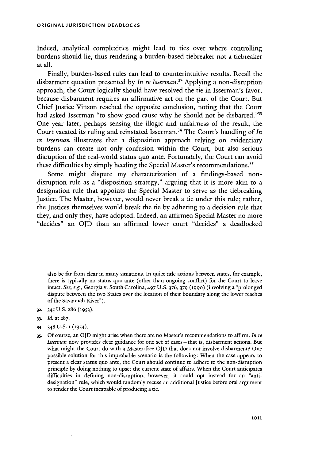#### **ORIGINAL JURISDICTION DEADLOCKS**

Indeed, analytical complexities might lead to ties over where controlling burdens should lie, thus rendering a burden-based tiebreaker not a tiebreaker at all.

Finally, burden-based rules can lead to counterintuitive results. Recall the disbarment question presented by *In re Isserman.32* Applying a non-disruption approach, the Court logically should have resolved the tie in Isserman's favor, because disbarment requires an affirmative act on the part of the Court. But Chief Justice Vinson reached the opposite conclusion, noting that the Court had asked Isserman "to show good cause why he should not be disbarred."<sup>33</sup> One year later, perhaps sensing the illogic and unfairness of the result, the Court vacated its ruling and reinstated Isserman.<sup>34</sup> The Court's handling of In *re Isserman* illustrates that a disposition approach relying on evidentiary burdens can create not only confusion within the Court, but also serious disruption of the real-world status quo ante. Fortunately, the Court can avoid these difficulties by simply heeding the Special Master's recommendations.<sup>3</sup>

Some might dispute my characterization of a findings-based nondisruption rule as a "disposition strategy," arguing that it is more akin to a designation rule that appoints the Special Master to serve as the tiebreaking Justice. The Master, however, would never break a tie under this rule; rather, the Justices themselves would break the tie by adhering to a decision rule that they, and only they, have adopted. Indeed, an affirmed Special Master no more "decides" an OJD than an affirmed lower court "decides" a deadlocked

also be far from clear in many situations. In quiet title actions between states, for example, there is typically no status quo ante (other than ongoing conflict) for the Court to leave intact. *See, e.g.,* Georgia v. South Carolina, 497 U.S. 376, 379 **(1990)** (involving a "prolonged dispute between the two States over the location of their boundary along the lower reaches of the Savannah River").

- **32.** 345 U.S. **286 (1953).**
- **33.** *Id.* at 287.
- **34.** 348 U.S. **1** (1954).

**<sup>35.</sup>** Of course, an OJD might arise when there are no Master's recommendations to affirm. *In re Isserman* now provides clear guidance for one set of cases - that is, disbarment actions. But what might the Court do with a Master-free OJD that does not involve disbarment? One possible solution for this improbable scenario is the following: When the case appears to present a clear status quo ante, the Court should continue to adhere to the non-disruption principle by doing nothing to upset the current state of affairs. When the Court anticipates difficulties in defining non-disruption, however, it could opt instead for an "antidesignation" rule, which would randomly recuse an additional Justice before oral argument to render the Court incapable of producing a tie.